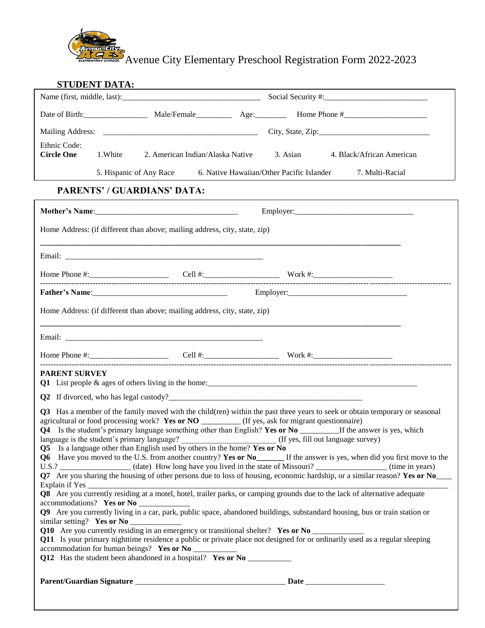

Avenue City Elementary Preschool Registration Form 2022-2023

|                                               | STUDENT DATA:                                                                                                                                                                                                                                                                                                                                                                                                                                                                                                                                                                                                                                                                                                                                                                                                                                                                                                                                                                                                             |  |                   |                                                                                                                                                                                                                                   |  |  |
|-----------------------------------------------|---------------------------------------------------------------------------------------------------------------------------------------------------------------------------------------------------------------------------------------------------------------------------------------------------------------------------------------------------------------------------------------------------------------------------------------------------------------------------------------------------------------------------------------------------------------------------------------------------------------------------------------------------------------------------------------------------------------------------------------------------------------------------------------------------------------------------------------------------------------------------------------------------------------------------------------------------------------------------------------------------------------------------|--|-------------------|-----------------------------------------------------------------------------------------------------------------------------------------------------------------------------------------------------------------------------------|--|--|
|                                               |                                                                                                                                                                                                                                                                                                                                                                                                                                                                                                                                                                                                                                                                                                                                                                                                                                                                                                                                                                                                                           |  |                   |                                                                                                                                                                                                                                   |  |  |
|                                               | Date of Birth: Male/Female Age: Home Phone #                                                                                                                                                                                                                                                                                                                                                                                                                                                                                                                                                                                                                                                                                                                                                                                                                                                                                                                                                                              |  |                   |                                                                                                                                                                                                                                   |  |  |
|                                               |                                                                                                                                                                                                                                                                                                                                                                                                                                                                                                                                                                                                                                                                                                                                                                                                                                                                                                                                                                                                                           |  | City, State, Zip: |                                                                                                                                                                                                                                   |  |  |
| Ethnic Code:<br><b>Circle One</b><br>1. White | 2. American Indian/Alaska Native                                                                                                                                                                                                                                                                                                                                                                                                                                                                                                                                                                                                                                                                                                                                                                                                                                                                                                                                                                                          |  | 3. Asian          | 4. Black/African American                                                                                                                                                                                                         |  |  |
|                                               | 5. Hispanic of Any Race 6. Native Hawaiian/Other Pacific Islander 7. Multi-Racial                                                                                                                                                                                                                                                                                                                                                                                                                                                                                                                                                                                                                                                                                                                                                                                                                                                                                                                                         |  |                   |                                                                                                                                                                                                                                   |  |  |
| <b>PARENTS' / GUARDIANS' DATA:</b>            |                                                                                                                                                                                                                                                                                                                                                                                                                                                                                                                                                                                                                                                                                                                                                                                                                                                                                                                                                                                                                           |  |                   |                                                                                                                                                                                                                                   |  |  |
|                                               |                                                                                                                                                                                                                                                                                                                                                                                                                                                                                                                                                                                                                                                                                                                                                                                                                                                                                                                                                                                                                           |  |                   |                                                                                                                                                                                                                                   |  |  |
|                                               | Home Address: (if different than above; mailing address, city, state, zip)                                                                                                                                                                                                                                                                                                                                                                                                                                                                                                                                                                                                                                                                                                                                                                                                                                                                                                                                                |  |                   |                                                                                                                                                                                                                                   |  |  |
|                                               |                                                                                                                                                                                                                                                                                                                                                                                                                                                                                                                                                                                                                                                                                                                                                                                                                                                                                                                                                                                                                           |  |                   |                                                                                                                                                                                                                                   |  |  |
|                                               |                                                                                                                                                                                                                                                                                                                                                                                                                                                                                                                                                                                                                                                                                                                                                                                                                                                                                                                                                                                                                           |  |                   |                                                                                                                                                                                                                                   |  |  |
|                                               |                                                                                                                                                                                                                                                                                                                                                                                                                                                                                                                                                                                                                                                                                                                                                                                                                                                                                                                                                                                                                           |  |                   |                                                                                                                                                                                                                                   |  |  |
|                                               | Home Address: (if different than above; mailing address, city, state, zip)                                                                                                                                                                                                                                                                                                                                                                                                                                                                                                                                                                                                                                                                                                                                                                                                                                                                                                                                                |  |                   |                                                                                                                                                                                                                                   |  |  |
|                                               |                                                                                                                                                                                                                                                                                                                                                                                                                                                                                                                                                                                                                                                                                                                                                                                                                                                                                                                                                                                                                           |  |                   |                                                                                                                                                                                                                                   |  |  |
|                                               |                                                                                                                                                                                                                                                                                                                                                                                                                                                                                                                                                                                                                                                                                                                                                                                                                                                                                                                                                                                                                           |  |                   |                                                                                                                                                                                                                                   |  |  |
| <b>PARENT SURVEY</b>                          |                                                                                                                                                                                                                                                                                                                                                                                                                                                                                                                                                                                                                                                                                                                                                                                                                                                                                                                                                                                                                           |  |                   |                                                                                                                                                                                                                                   |  |  |
|                                               | Q2 If divorced, who has legal custody?                                                                                                                                                                                                                                                                                                                                                                                                                                                                                                                                                                                                                                                                                                                                                                                                                                                                                                                                                                                    |  |                   |                                                                                                                                                                                                                                   |  |  |
| accommodations? Yes or No ____________        | Q3 Has a member of the family moved with the child(ren) within the past three years to seek or obtain temporary or seasonal<br>agricultural or food processing work? Yes or NO _________ (If yes, ask for migrant questionnaire)<br>Q4 Is the student's primary language something other than English? Yes or No _________If the answer is yes, which<br>language is the student's primary language? (If yes, fill out language survey)<br>Q5 Is a language other than English used by others in the home? Yes or No<br><b>Q6</b> Have you moved to the U.S. from another country? Yes or No<br>If the answer is yes, when did you first move to the<br>Q9 Are you currently living in a car, park, public space, abandoned buildings, substandard housing, bus or train station or<br>Q10 Are you currently residing in an emergency or transitional shelter? Yes or No _________________<br>Q11 Is your primary nighttime residence a public or private place not designed for or ordinarily used as a regular sleeping |  |                   | U.S.? COMEXALLED (date) How long have you lived in the state of Missouri? COMEXALLED (time in years)<br>Q7 Are you sharing the housing of other persons due to loss of housing, economic hardship, or a similar reason? Yes or No |  |  |
|                                               | accommodation for human beings? Yes or No __________<br>Q12 Has the student been abandoned in a hospital? Yes or No ____________________                                                                                                                                                                                                                                                                                                                                                                                                                                                                                                                                                                                                                                                                                                                                                                                                                                                                                  |  |                   |                                                                                                                                                                                                                                   |  |  |
|                                               |                                                                                                                                                                                                                                                                                                                                                                                                                                                                                                                                                                                                                                                                                                                                                                                                                                                                                                                                                                                                                           |  |                   |                                                                                                                                                                                                                                   |  |  |